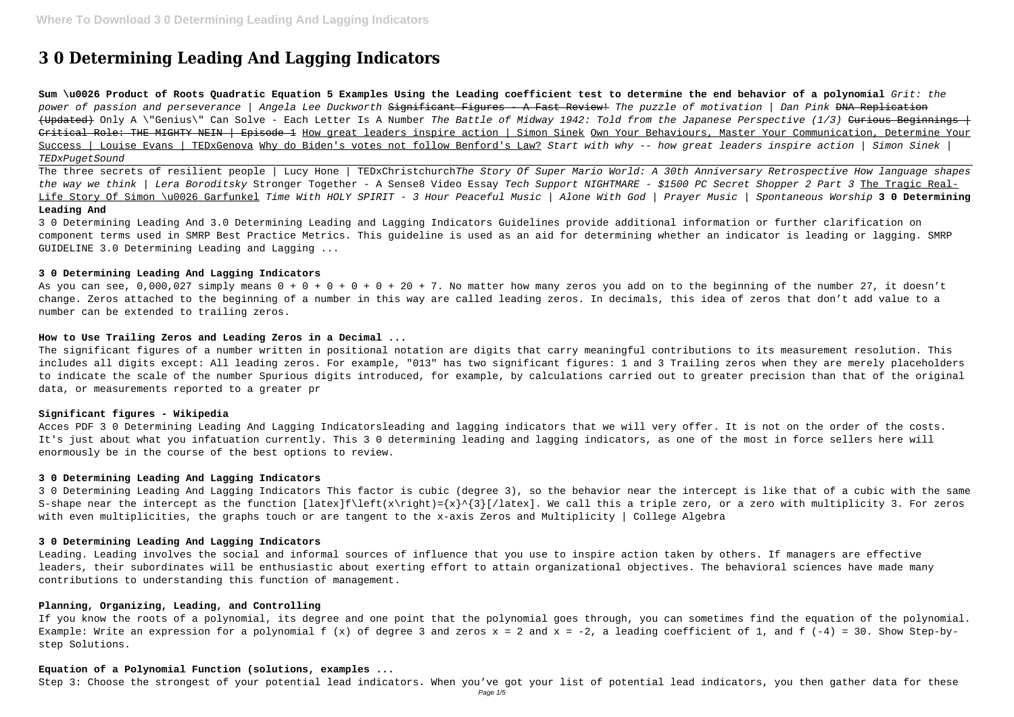# **3 0 Determining Leading And Lagging Indicators**

**Sum \u0026 Product of Roots Quadratic Equation 5 Examples Using the Leading coefficient test to determine the end behavior of a polynomial** Grit: the power of passion and perseverance | Angela Lee Duckworth <del>Significant Figures - A Fast Review!</del> The puzzle of motivation | Dan Pink <del>DNA Replication</del> (Updated) Only A \"Genius\" Can Solve - Each Letter Is A Number The Battle of Midway 1942: Told from the Japanese Perspective (1/3) Curious Beginnings + Critical Role: THE MIGHTY NEIN | Episode 1 How great leaders inspire action | Simon Sinek Own Your Behaviours, Master Your Communication, Determine Your Success | Louise Evans | TEDxGenova Why do Biden's votes not follow Benford's Law? Start with why -- how great leaders inspire action | Simon Sinek | TEDxPugetSound

The three secrets of resilient people | Lucy Hone | TEDxChristchurchThe Story Of Super Mario World: A 30th Anniversary Retrospective How language shapes the way we think | Lera Boroditsky Stronger Together - A Sense8 Video Essay Tech Support NIGHTMARE - \$1500 PC Secret Shopper 2 Part 3 The Tragic Real-Life Story Of Simon \u0026 Garfunkel Time With HOLY SPIRIT - 3 Hour Peaceful Music | Alone With God | Prayer Music | Spontaneous Worship **3 0 Determining Leading And**

As you can see,  $0.000.027$  simply means  $0 + 0 + 0 + 0 + 20 + 7$ . No matter how many zeros you add on to the beginning of the number 27, it doesn't change. Zeros attached to the beginning of a number in this way are called leading zeros. In decimals, this idea of zeros that don't add value to a number can be extended to trailing zeros.

3 0 Determining Leading And 3.0 Determining Leading and Lagging Indicators Guidelines provide additional information or further clarification on component terms used in SMRP Best Practice Metrics. This guideline is used as an aid for determining whether an indicator is leading or lagging. SMRP GUIDELINE 3.0 Determining Leading and Lagging ...

# **3 0 Determining Leading And Lagging Indicators**

# **How to Use Trailing Zeros and Leading Zeros in a Decimal ...**

The significant figures of a number written in positional notation are digits that carry meaningful contributions to its measurement resolution. This includes all digits except: All leading zeros. For example, "013" has two significant figures: 1 and 3 Trailing zeros when they are merely placeholders to indicate the scale of the number Spurious digits introduced, for example, by calculations carried out to greater precision than that of the original data, or measurements reported to a greater pr

# **Significant figures - Wikipedia**

Acces PDF 3 0 Determining Leading And Lagging Indicatorsleading and lagging indicators that we will very offer. It is not on the order of the costs. It's just about what you infatuation currently. This 3 0 determining leading and lagging indicators, as one of the most in force sellers here will enormously be in the course of the best options to review.

#### **3 0 Determining Leading And Lagging Indicators**

3 0 Determining Leading And Lagging Indicators This factor is cubic (degree 3), so the behavior near the intercept is like that of a cubic with the same S-shape near the intercept as the function [latex]f\left(x\right)={x}^{3}[/latex]. We call this a triple zero, or a zero with multiplicity 3. For zeros with even multiplicities, the graphs touch or are tangent to the x-axis Zeros and Multiplicity | College Algebra

#### **3 0 Determining Leading And Lagging Indicators**

Leading. Leading involves the social and informal sources of influence that you use to inspire action taken by others. If managers are effective leaders, their subordinates will be enthusiastic about exerting effort to attain organizational objectives. The behavioral sciences have made many contributions to understanding this function of management.

# **Planning, Organizing, Leading, and Controlling**

If you know the roots of a polynomial, its degree and one point that the polynomial goes through, you can sometimes find the equation of the polynomial. Example: Write an expression for a polynomial  $f(x)$  of degree 3 and zeros  $x = 2$  and  $x = -2$ , a leading coefficient of 1, and  $f(-4) = 30$ . Show Step-bystep Solutions.

# **Equation of a Polynomial Function (solutions, examples ...**

Step 3: Choose the strongest of your potential lead indicators. When you've got your list of potential lead indicators, you then gather data for these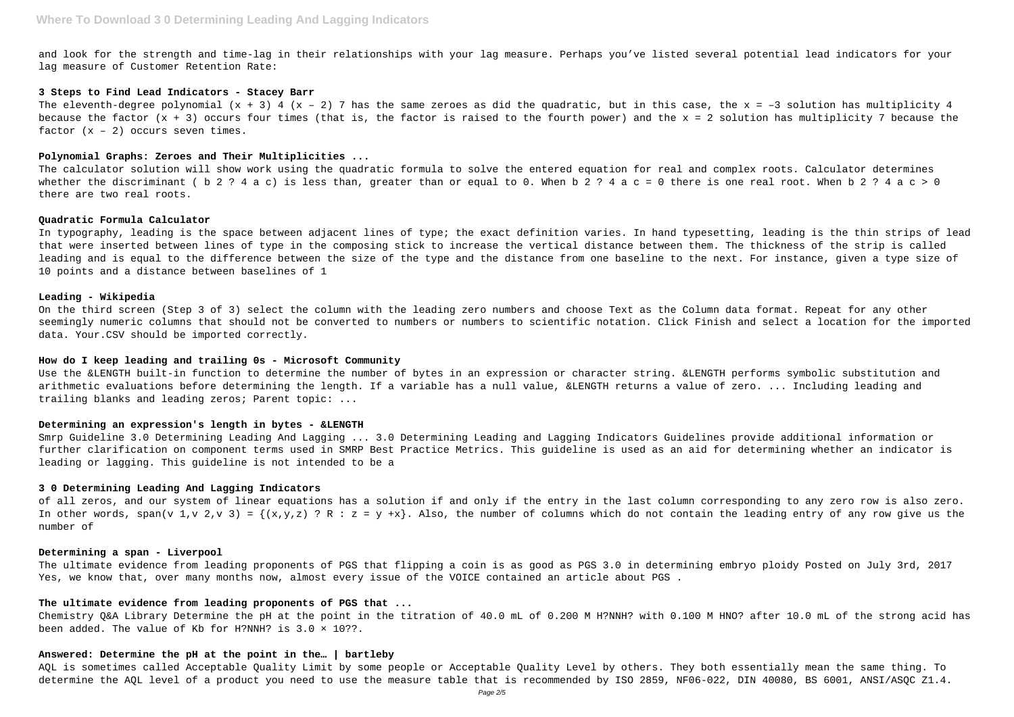and look for the strength and time-lag in their relationships with your lag measure. Perhaps you've listed several potential lead indicators for your lag measure of Customer Retention Rate:

#### **3 Steps to Find Lead Indicators - Stacey Barr**

The eleventh-degree polynomial  $(x + 3)$  4  $(x - 2)$  7 has the same zeroes as did the quadratic, but in this case, the  $x = -3$  solution has multiplicity 4 because the factor (x + 3) occurs four times (that is, the factor is raised to the fourth power) and the x = 2 solution has multiplicity 7 because the factor  $(x - 2)$  occurs seven times.

#### **Polynomial Graphs: Zeroes and Their Multiplicities ...**

The calculator solution will show work using the quadratic formula to solve the entered equation for real and complex roots. Calculator determines whether the discriminant ( b 2 ? 4 a c) is less than, greater than or equal to 0. When b 2 ? 4 a c = 0 there is one real root. When b 2 ? 4 a c > 0 there are two real roots.

# **Quadratic Formula Calculator**

In typography, leading is the space between adjacent lines of type; the exact definition varies. In hand typesetting, leading is the thin strips of lead that were inserted between lines of type in the composing stick to increase the vertical distance between them. The thickness of the strip is called leading and is equal to the difference between the size of the type and the distance from one baseline to the next. For instance, given a type size of 10 points and a distance between baselines of 1

# **Leading - Wikipedia**

On the third screen (Step 3 of 3) select the column with the leading zero numbers and choose Text as the Column data format. Repeat for any other seemingly numeric columns that should not be converted to numbers or numbers to scientific notation. Click Finish and select a location for the imported data. Your.CSV should be imported correctly.

### **How do I keep leading and trailing 0s - Microsoft Community**

Use the &LENGTH built-in function to determine the number of bytes in an expression or character string. &LENGTH performs symbolic substitution and arithmetic evaluations before determining the length. If a variable has a null value, &LENGTH returns a value of zero. ... Including leading and trailing blanks and leading zeros; Parent topic: ...

#### **Determining an expression's length in bytes - &LENGTH**

Smrp Guideline 3.0 Determining Leading And Lagging ... 3.0 Determining Leading and Lagging Indicators Guidelines provide additional information or further clarification on component terms used in SMRP Best Practice Metrics. This guideline is used as an aid for determining whether an indicator is leading or lagging. This guideline is not intended to be a

# **3 0 Determining Leading And Lagging Indicators**

of all zeros, and our system of linear equations has a solution if and only if the entry in the last column corresponding to any zero row is also zero. In other words, span(v 1,v 2,v 3) =  $\{(x,y,z) : R : z = y +x\}$ . Also, the number of columns which do not contain the leading entry of any row give us the number of

#### **Determining a span - Liverpool**

The ultimate evidence from leading proponents of PGS that flipping a coin is as good as PGS 3.0 in determining embryo ploidy Posted on July 3rd, 2017 Yes, we know that, over many months now, almost every issue of the VOICE contained an article about PGS .

# **The ultimate evidence from leading proponents of PGS that ...**

Chemistry Q&A Library Determine the pH at the point in the titration of 40.0 mL of 0.200 M H?NNH? with 0.100 M HNO? after 10.0 mL of the strong acid has been added. The value of Kb for H?NNH? is 3.0 × 10??.

#### **Answered: Determine the pH at the point in the… | bartleby**

AQL is sometimes called Acceptable Quality Limit by some people or Acceptable Quality Level by others. They both essentially mean the same thing. To determine the AQL level of a product you need to use the measure table that is recommended by ISO 2859, NF06-022, DIN 40080, BS 6001, ANSI/ASQC Z1.4.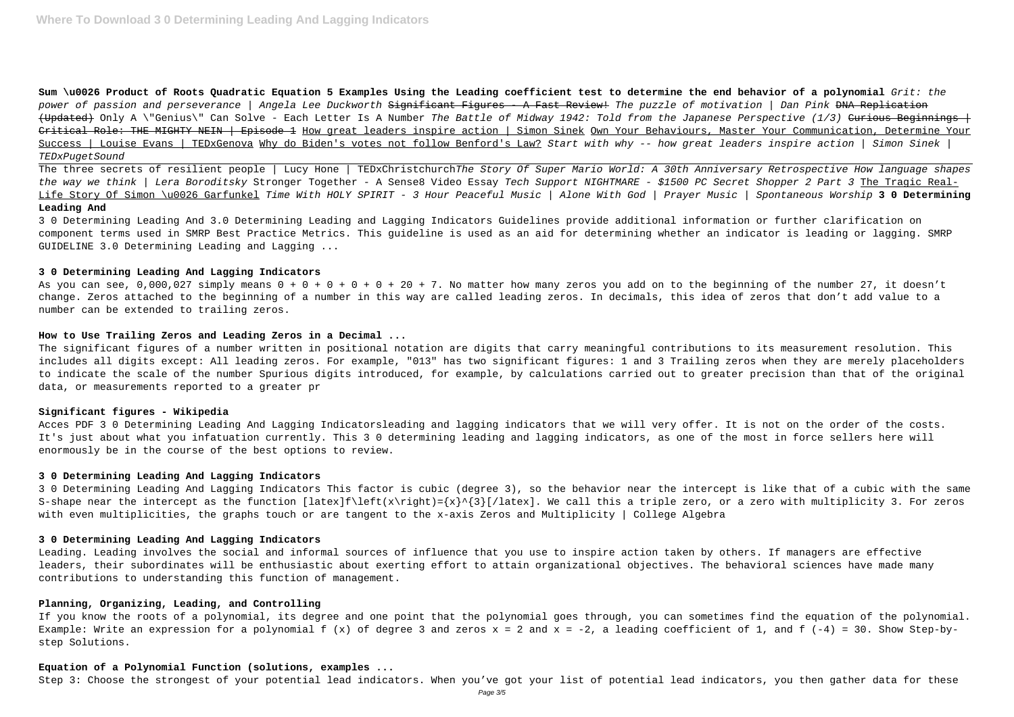**Sum \u0026 Product of Roots Quadratic Equation 5 Examples Using the Leading coefficient test to determine the end behavior of a polynomial** Grit: the power of passion and perseverance | Angela Lee Duckworth <del>Significant Figures - A Fast Review!</del> The puzzle of motivation | Dan Pink <del>DNA Replication</del> (Updated) Only A \"Genius\" Can Solve - Each Letter Is A Number The Battle of Midway 1942: Told from the Japanese Perspective (1/3) <del>Curious Beginnings |</del> Critical Role: THE MIGHTY NEIN | Episode 1 How great leaders inspire action | Simon Sinek Own Your Behaviours, Master Your Communication, Determine Your Success | Louise Evans | TEDxGenova Why do Biden's votes not follow Benford's Law? Start with why -- how great leaders inspire action | Simon Sinek | TEDxPugetSound

The three secrets of resilient people | Lucy Hone | TEDxChristchurchThe Story Of Super Mario World: A 30th Anniversary Retrospective How language shapes the way we think | Lera Boroditsky Stronger Together - A Sense8 Video Essay Tech Support NIGHTMARE - \$1500 PC Secret Shopper 2 Part 3 The Tragic Real-Life Story Of Simon \u0026 Garfunkel Time With HOLY SPIRIT - 3 Hour Peaceful Music | Alone With God | Prayer Music | Spontaneous Worship **3 0 Determining Leading And**

As you can see, 0,000,027 simply means  $0 + 0 + 0 + 0 + 20 + 7$ . No matter how many zeros you add on to the beginning of the number 27, it doesn't change. Zeros attached to the beginning of a number in this way are called leading zeros. In decimals, this idea of zeros that don't add value to a number can be extended to trailing zeros.

3 0 Determining Leading And 3.0 Determining Leading and Lagging Indicators Guidelines provide additional information or further clarification on component terms used in SMRP Best Practice Metrics. This guideline is used as an aid for determining whether an indicator is leading or lagging. SMRP GUIDELINE 3.0 Determining Leading and Lagging ...

# **3 0 Determining Leading And Lagging Indicators**

# **How to Use Trailing Zeros and Leading Zeros in a Decimal ...**

The significant figures of a number written in positional notation are digits that carry meaningful contributions to its measurement resolution. This includes all digits except: All leading zeros. For example, "013" has two significant figures: 1 and 3 Trailing zeros when they are merely placeholders to indicate the scale of the number Spurious digits introduced, for example, by calculations carried out to greater precision than that of the original data, or measurements reported to a greater pr

# **Significant figures - Wikipedia**

Acces PDF 3 0 Determining Leading And Lagging Indicatorsleading and lagging indicators that we will very offer. It is not on the order of the costs. It's just about what you infatuation currently. This 3 0 determining leading and lagging indicators, as one of the most in force sellers here will enormously be in the course of the best options to review.

# **3 0 Determining Leading And Lagging Indicators**

3 0 Determining Leading And Lagging Indicators This factor is cubic (degree 3), so the behavior near the intercept is like that of a cubic with the same S-shape near the intercept as the function [latex]f\left(x\right)={x}^{3}[/latex]. We call this a triple zero, or a zero with multiplicity 3. For zeros with even multiplicities, the graphs touch or are tangent to the x-axis Zeros and Multiplicity | College Algebra

# **3 0 Determining Leading And Lagging Indicators**

Leading. Leading involves the social and informal sources of influence that you use to inspire action taken by others. If managers are effective leaders, their subordinates will be enthusiastic about exerting effort to attain organizational objectives. The behavioral sciences have made many contributions to understanding this function of management.

# **Planning, Organizing, Leading, and Controlling**

If you know the roots of a polynomial, its degree and one point that the polynomial goes through, you can sometimes find the equation of the polynomial. Example: Write an expression for a polynomial  $f(x)$  of degree 3 and zeros  $x = 2$  and  $x = -2$ , a leading coefficient of 1, and  $f(-4) = 30$ . Show Step-bystep Solutions.

# **Equation of a Polynomial Function (solutions, examples ...**

Step 3: Choose the strongest of your potential lead indicators. When you've got your list of potential lead indicators, you then gather data for these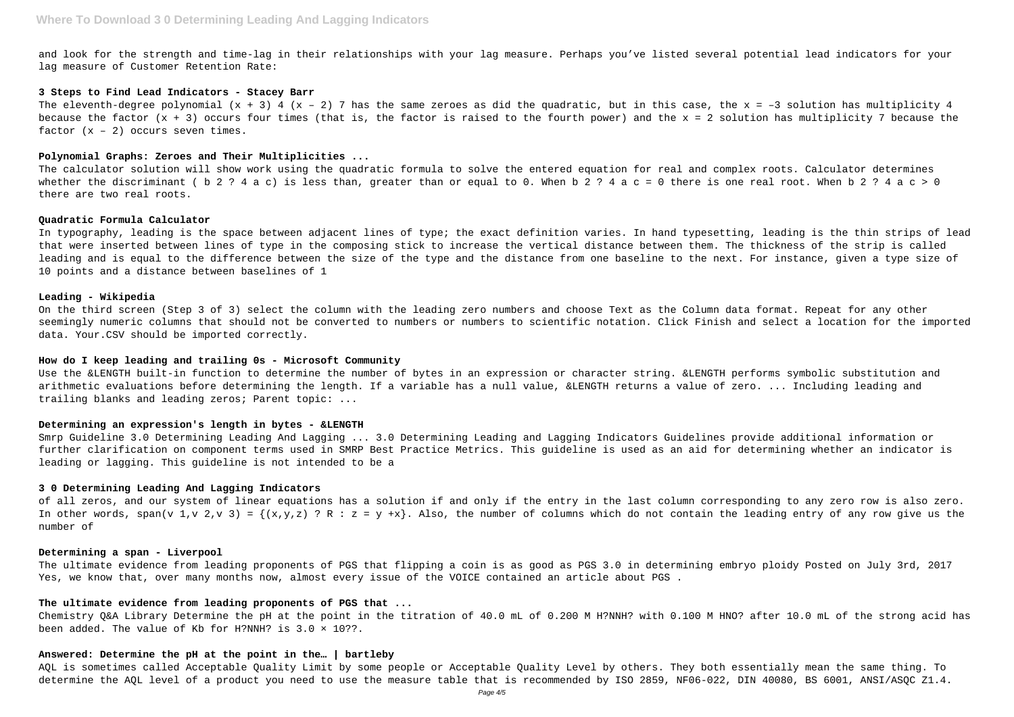and look for the strength and time-lag in their relationships with your lag measure. Perhaps you've listed several potential lead indicators for your lag measure of Customer Retention Rate:

#### **3 Steps to Find Lead Indicators - Stacey Barr**

The eleventh-degree polynomial  $(x + 3)$  4  $(x - 2)$  7 has the same zeroes as did the quadratic, but in this case, the  $x = -3$  solution has multiplicity 4 because the factor (x + 3) occurs four times (that is, the factor is raised to the fourth power) and the x = 2 solution has multiplicity 7 because the factor  $(x - 2)$  occurs seven times.

### **Polynomial Graphs: Zeroes and Their Multiplicities ...**

The calculator solution will show work using the quadratic formula to solve the entered equation for real and complex roots. Calculator determines whether the discriminant ( b 2 ? 4 a c) is less than, greater than or equal to 0. When b 2 ? 4 a c = 0 there is one real root. When b 2 ? 4 a c > 0 there are two real roots.

# **Quadratic Formula Calculator**

In typography, leading is the space between adjacent lines of type; the exact definition varies. In hand typesetting, leading is the thin strips of lead that were inserted between lines of type in the composing stick to increase the vertical distance between them. The thickness of the strip is called leading and is equal to the difference between the size of the type and the distance from one baseline to the next. For instance, given a type size of 10 points and a distance between baselines of 1

#### **Leading - Wikipedia**

On the third screen (Step 3 of 3) select the column with the leading zero numbers and choose Text as the Column data format. Repeat for any other seemingly numeric columns that should not be converted to numbers or numbers to scientific notation. Click Finish and select a location for the imported data. Your.CSV should be imported correctly.

### **How do I keep leading and trailing 0s - Microsoft Community**

Use the &LENGTH built-in function to determine the number of bytes in an expression or character string. &LENGTH performs symbolic substitution and arithmetic evaluations before determining the length. If a variable has a null value, &LENGTH returns a value of zero. ... Including leading and trailing blanks and leading zeros; Parent topic: ...

#### **Determining an expression's length in bytes - &LENGTH**

Smrp Guideline 3.0 Determining Leading And Lagging ... 3.0 Determining Leading and Lagging Indicators Guidelines provide additional information or further clarification on component terms used in SMRP Best Practice Metrics. This guideline is used as an aid for determining whether an indicator is leading or lagging. This guideline is not intended to be a

# **3 0 Determining Leading And Lagging Indicators**

of all zeros, and our system of linear equations has a solution if and only if the entry in the last column corresponding to any zero row is also zero. In other words, span(v 1,v 2,v 3) =  $\{(x,y,z) : R : z = y +x\}$ . Also, the number of columns which do not contain the leading entry of any row give us the number of

#### **Determining a span - Liverpool**

The ultimate evidence from leading proponents of PGS that flipping a coin is as good as PGS 3.0 in determining embryo ploidy Posted on July 3rd, 2017 Yes, we know that, over many months now, almost every issue of the VOICE contained an article about PGS .

# **The ultimate evidence from leading proponents of PGS that ...**

Chemistry Q&A Library Determine the pH at the point in the titration of 40.0 mL of 0.200 M H?NNH? with 0.100 M HNO? after 10.0 mL of the strong acid has been added. The value of Kb for H?NNH? is 3.0 × 10??.

#### **Answered: Determine the pH at the point in the… | bartleby**

AQL is sometimes called Acceptable Quality Limit by some people or Acceptable Quality Level by others. They both essentially mean the same thing. To determine the AQL level of a product you need to use the measure table that is recommended by ISO 2859, NF06-022, DIN 40080, BS 6001, ANSI/ASQC Z1.4.